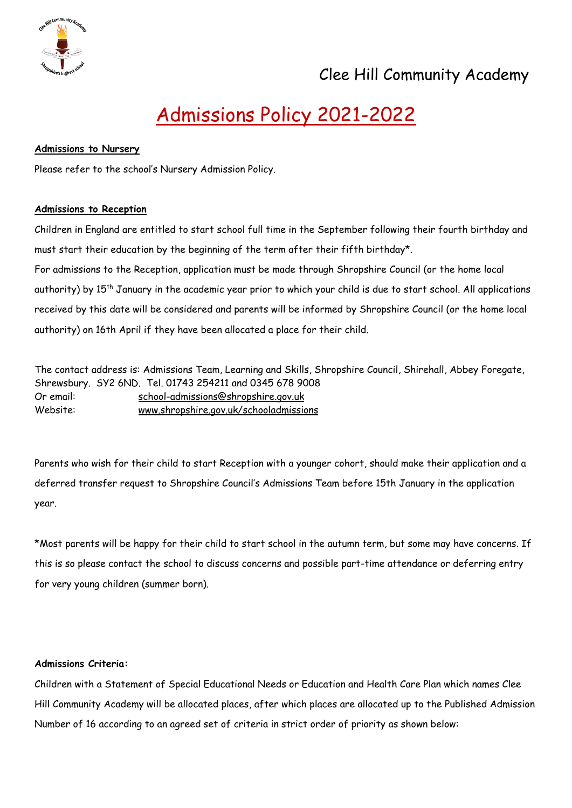

# Admissions Policy 2021-2022

#### **Admissions to Nursery**

Please refer to the school's Nursery Admission Policy.

#### **Admissions to Reception**

Children in England are entitled to start school full time in the September following their fourth birthday and must start their education by the beginning of the term after their fifth birthday\*.

For admissions to the Reception, application must be made through Shropshire Council (or the home local authority) by 15<sup>th</sup> January in the academic year prior to which your child is due to start school. All applications received by this date will be considered and parents will be informed by Shropshire Council (or the home local authority) on 16th April if they have been allocated a place for their child.

The contact address is: Admissions Team, Learning and Skills, Shropshire Council, Shirehall, Abbey Foregate, Shrewsbury. SY2 6ND. Tel. 01743 254211 and 0345 678 9008 Or email: [school-admissions@shropshire.gov.uk](mailto:school-admissions@shropshire.gov.uk) Website: [www.shropshire.gov.uk/s](http://www.shropshire.gov.uk/)chooladmissions

Parents who wish for their child to start Reception with a younger cohort, should make their application and a deferred transfer request to Shropshire Council's Admissions Team before 15th January in the application year.

\*Most parents will be happy for their child to start school in the autumn term, but some may have concerns. If this is so please contact the school to discuss concerns and possible part-time attendance or deferring entry for very young children (summer born).

#### **Admissions Criteria:**

Children with a Statement of Special Educational Needs or Education and Health Care Plan which names Clee Hill Community Academy will be allocated places, after which places are allocated up to the Published Admission Number of 16 according to an agreed set of criteria in strict order of priority as shown below: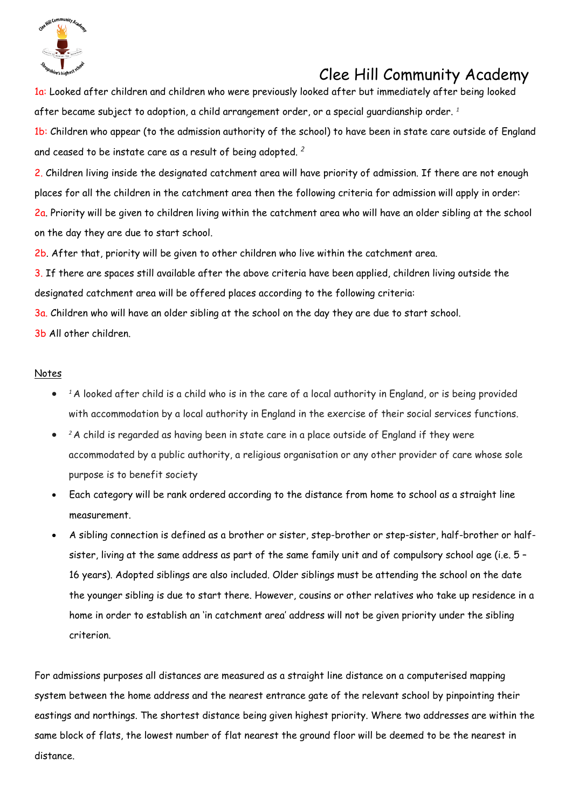

1a: Looked after children and children who were previously looked after but immediately after being looked after became subject to adoption, a child arrangement order, or a special guardianship order. *<sup>1</sup>* 1b: Children who appear (to the admission authority of the school) to have been in state care outside of England

and ceased to be instate care as a result of being adopted. *<sup>2</sup>*

2. Children living inside the designated catchment area will have priority of admission. If there are not enough places for all the children in the catchment area then the following criteria for admission will apply in order: 2a. Priority will be given to children living within the catchment area who will have an older sibling at the school on the day they are due to start school.

2b. After that, priority will be given to other children who live within the catchment area.

3. If there are spaces still available after the above criteria have been applied, children living outside the designated catchment area will be offered places according to the following criteria:

3a. Children who will have an older sibling at the school on the day they are due to start school. 3b All other children.

### Notes

- <sup>1</sup>A looked after child is a child who is in the care of a local authority in England, or is being provided with accommodation by a local authority in England in the exercise of their social services functions.
- <sup>2</sup>A child is regarded as having been in state care in a place outside of England if they were accommodated by a public authority, a religious organisation or any other provider of care whose sole purpose is to benefit society
- Each category will be rank ordered according to the distance from home to school as a straight line measurement.
- A sibling connection is defined as a brother or sister, step-brother or step-sister, half-brother or halfsister, living at the same address as part of the same family unit and of compulsory school age (i.e. 5 – 16 years). Adopted siblings are also included. Older siblings must be attending the school on the date the younger sibling is due to start there. However, cousins or other relatives who take up residence in a home in order to establish an 'in catchment area' address will not be given priority under the sibling criterion.

For admissions purposes all distances are measured as a straight line distance on a computerised mapping system between the home address and the nearest entrance gate of the relevant school by pinpointing their eastings and northings. The shortest distance being given highest priority. Where two addresses are within the same block of flats, the lowest number of flat nearest the ground floor will be deemed to be the nearest in distance.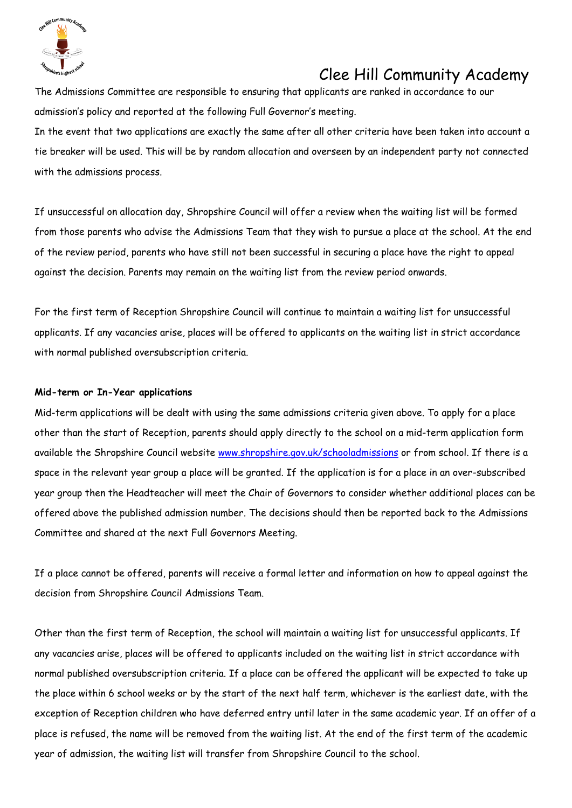

The Admissions Committee are responsible to ensuring that applicants are ranked in accordance to our admission's policy and reported at the following Full Governor's meeting.

In the event that two applications are exactly the same after all other criteria have been taken into account a tie breaker will be used. This will be by random allocation and overseen by an independent party not connected with the admissions process.

If unsuccessful on allocation day, Shropshire Council will offer a review when the waiting list will be formed from those parents who advise the Admissions Team that they wish to pursue a place at the school. At the end of the review period, parents who have still not been successful in securing a place have the right to appeal against the decision. Parents may remain on the waiting list from the review period onwards.

For the first term of Reception Shropshire Council will continue to maintain a waiting list for unsuccessful applicants. If any vacancies arise, places will be offered to applicants on the waiting list in strict accordance with normal published oversubscription criteria.

#### **Mid-term or In-Year applications**

Mid-term applications will be dealt with using the same admissions criteria given above. To apply for a place other than the start of Reception, parents should apply directly to the school on a mid-term application form available the Shropshire Council website [www.shropshire.gov.uk/schooladmissions](http://www.shropshire.gov.uk/schooladmissions) or from school. If there is a space in the relevant year group a place will be granted. If the application is for a place in an over-subscribed year group then the Headteacher will meet the Chair of Governors to consider whether additional places can be offered above the published admission number. The decisions should then be reported back to the Admissions Committee and shared at the next Full Governors Meeting.

If a place cannot be offered, parents will receive a formal letter and information on how to appeal against the decision from Shropshire Council Admissions Team.

Other than the first term of Reception, the school will maintain a waiting list for unsuccessful applicants. If any vacancies arise, places will be offered to applicants included on the waiting list in strict accordance with normal published oversubscription criteria. If a place can be offered the applicant will be expected to take up the place within 6 school weeks or by the start of the next half term, whichever is the earliest date, with the exception of Reception children who have deferred entry until later in the same academic year. If an offer of a place is refused, the name will be removed from the waiting list. At the end of the first term of the academic year of admission, the waiting list will transfer from Shropshire Council to the school.